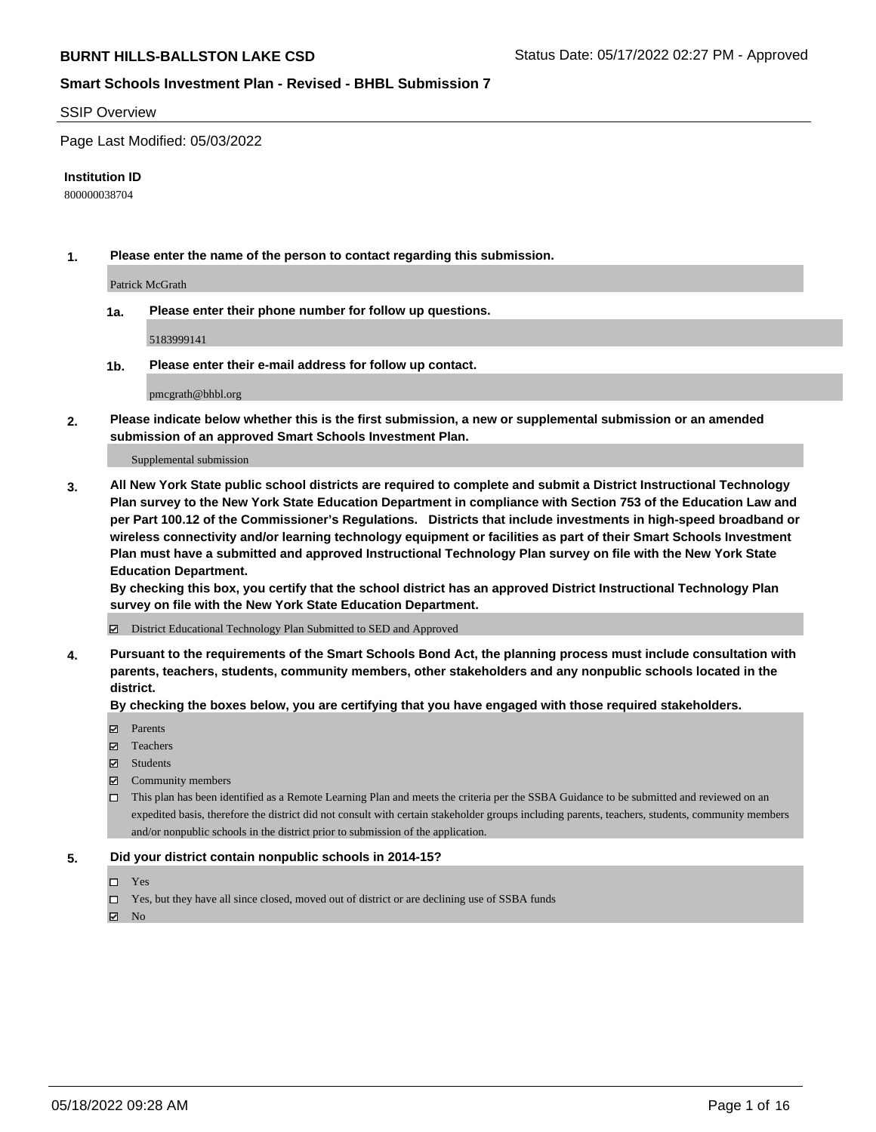#### SSIP Overview

Page Last Modified: 05/03/2022

#### **Institution ID**

800000038704

**1. Please enter the name of the person to contact regarding this submission.**

Patrick McGrath

**1a. Please enter their phone number for follow up questions.**

5183999141

**1b. Please enter their e-mail address for follow up contact.**

pmcgrath@bhbl.org

**2. Please indicate below whether this is the first submission, a new or supplemental submission or an amended submission of an approved Smart Schools Investment Plan.**

Supplemental submission

**3. All New York State public school districts are required to complete and submit a District Instructional Technology Plan survey to the New York State Education Department in compliance with Section 753 of the Education Law and per Part 100.12 of the Commissioner's Regulations. Districts that include investments in high-speed broadband or wireless connectivity and/or learning technology equipment or facilities as part of their Smart Schools Investment Plan must have a submitted and approved Instructional Technology Plan survey on file with the New York State Education Department.** 

**By checking this box, you certify that the school district has an approved District Instructional Technology Plan survey on file with the New York State Education Department.**

District Educational Technology Plan Submitted to SED and Approved

**4. Pursuant to the requirements of the Smart Schools Bond Act, the planning process must include consultation with parents, teachers, students, community members, other stakeholders and any nonpublic schools located in the district.** 

**By checking the boxes below, you are certifying that you have engaged with those required stakeholders.**

- $\blacksquare$  Parents
- Teachers
- Students
- $\Xi$  Community members
- This plan has been identified as a Remote Learning Plan and meets the criteria per the SSBA Guidance to be submitted and reviewed on an expedited basis, therefore the district did not consult with certain stakeholder groups including parents, teachers, students, community members and/or nonpublic schools in the district prior to submission of the application.

#### **5. Did your district contain nonpublic schools in 2014-15?**

- Yes
- $\Box$  Yes, but they have all since closed, moved out of district or are declining use of SSBA funds

 $\boxtimes$  No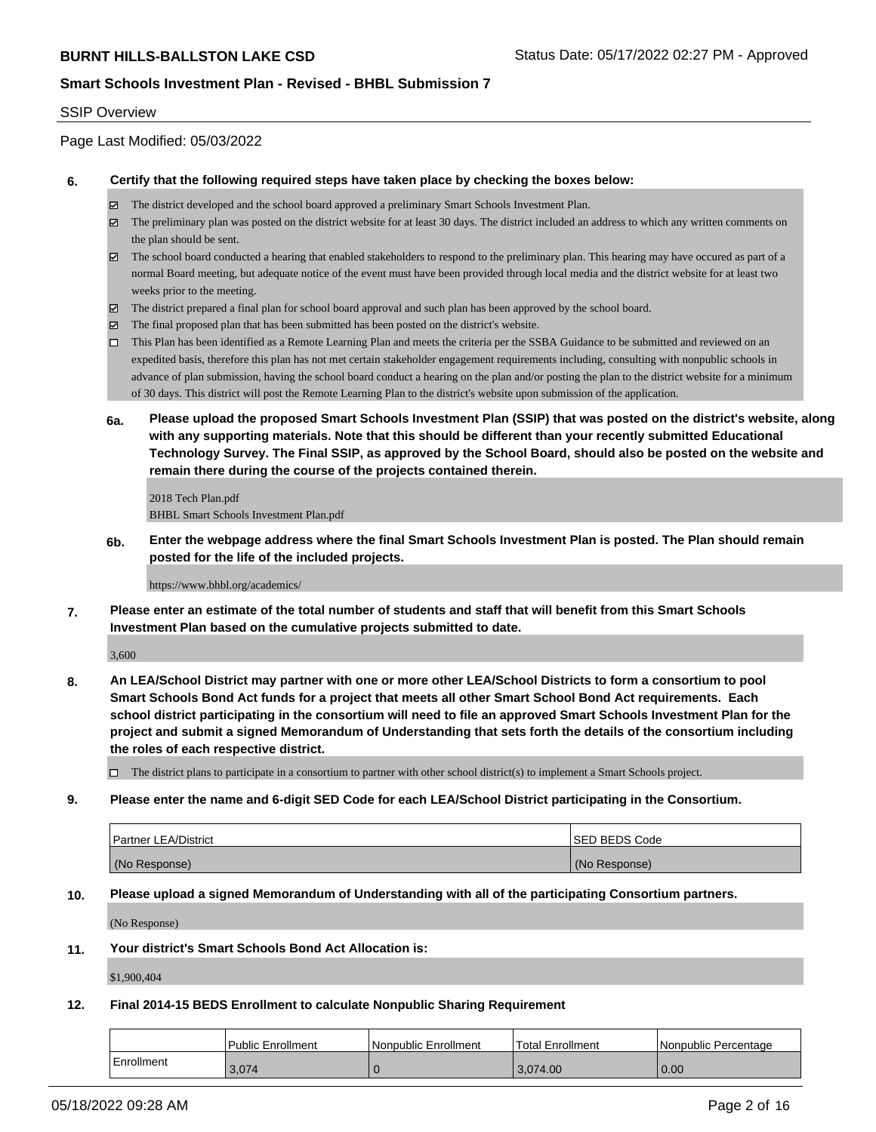## SSIP Overview

Page Last Modified: 05/03/2022

#### **6. Certify that the following required steps have taken place by checking the boxes below:**

- The district developed and the school board approved a preliminary Smart Schools Investment Plan.
- $\boxtimes$  The preliminary plan was posted on the district website for at least 30 days. The district included an address to which any written comments on the plan should be sent.
- $\boxtimes$  The school board conducted a hearing that enabled stakeholders to respond to the preliminary plan. This hearing may have occured as part of a normal Board meeting, but adequate notice of the event must have been provided through local media and the district website for at least two weeks prior to the meeting.
- The district prepared a final plan for school board approval and such plan has been approved by the school board.
- $\boxtimes$  The final proposed plan that has been submitted has been posted on the district's website.
- This Plan has been identified as a Remote Learning Plan and meets the criteria per the SSBA Guidance to be submitted and reviewed on an expedited basis, therefore this plan has not met certain stakeholder engagement requirements including, consulting with nonpublic schools in advance of plan submission, having the school board conduct a hearing on the plan and/or posting the plan to the district website for a minimum of 30 days. This district will post the Remote Learning Plan to the district's website upon submission of the application.
- **6a. Please upload the proposed Smart Schools Investment Plan (SSIP) that was posted on the district's website, along with any supporting materials. Note that this should be different than your recently submitted Educational Technology Survey. The Final SSIP, as approved by the School Board, should also be posted on the website and remain there during the course of the projects contained therein.**

2018 Tech Plan.pdf BHBL Smart Schools Investment Plan.pdf

**6b. Enter the webpage address where the final Smart Schools Investment Plan is posted. The Plan should remain posted for the life of the included projects.**

https://www.bhbl.org/academics/

**7. Please enter an estimate of the total number of students and staff that will benefit from this Smart Schools Investment Plan based on the cumulative projects submitted to date.**

3,600

**8. An LEA/School District may partner with one or more other LEA/School Districts to form a consortium to pool Smart Schools Bond Act funds for a project that meets all other Smart School Bond Act requirements. Each school district participating in the consortium will need to file an approved Smart Schools Investment Plan for the project and submit a signed Memorandum of Understanding that sets forth the details of the consortium including the roles of each respective district.**

 $\Box$  The district plans to participate in a consortium to partner with other school district(s) to implement a Smart Schools project.

#### **9. Please enter the name and 6-digit SED Code for each LEA/School District participating in the Consortium.**

| <b>Partner LEA/District</b> | <b>ISED BEDS Code</b> |
|-----------------------------|-----------------------|
| (No Response)               | (No Response)         |

#### **10. Please upload a signed Memorandum of Understanding with all of the participating Consortium partners.**

(No Response)

#### **11. Your district's Smart Schools Bond Act Allocation is:**

\$1,900,404

# **12. Final 2014-15 BEDS Enrollment to calculate Nonpublic Sharing Requirement**

|            | l Public Enrollment | Nonpublic Enrollment | <b>Total Enrollment</b> | Nonpublic Percentage |
|------------|---------------------|----------------------|-------------------------|----------------------|
| Enrollment | 3,074               |                      | 3.074.00                | 0.00                 |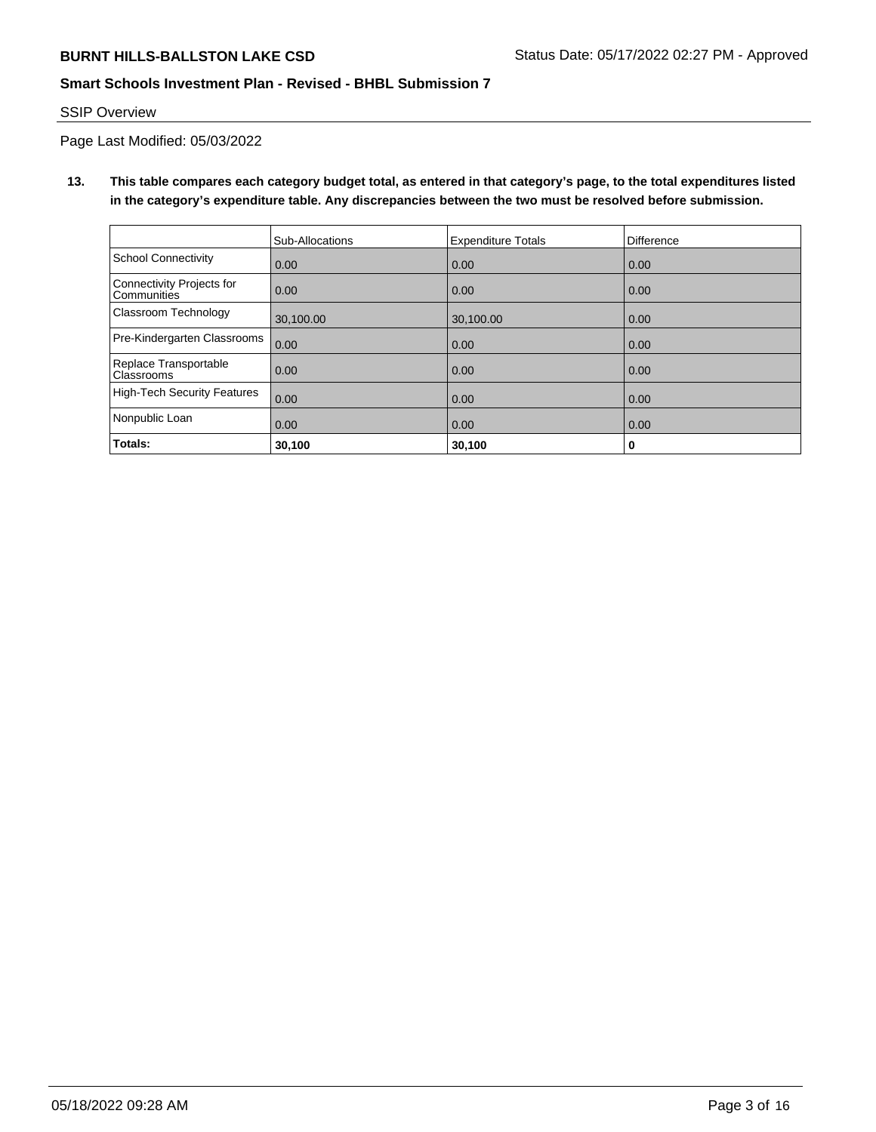## SSIP Overview

Page Last Modified: 05/03/2022

**13. This table compares each category budget total, as entered in that category's page, to the total expenditures listed in the category's expenditure table. Any discrepancies between the two must be resolved before submission.**

|                                                 | Sub-Allocations | <b>Expenditure Totals</b> | Difference |
|-------------------------------------------------|-----------------|---------------------------|------------|
| School Connectivity                             | 0.00            | 0.00                      | 0.00       |
| Connectivity Projects for<br><b>Communities</b> | 0.00            | 0.00                      | 0.00       |
| <b>Classroom Technology</b>                     | 30,100.00       | 30,100.00                 | 0.00       |
| Pre-Kindergarten Classrooms                     | 0.00            | 0.00                      | 0.00       |
| Replace Transportable<br><b>Classrooms</b>      | 0.00            | 0.00                      | 0.00       |
| High-Tech Security Features                     | 0.00            | 0.00                      | 0.00       |
| Nonpublic Loan                                  | 0.00            | 0.00                      | 0.00       |
| Totals:                                         | 30,100          | 30,100                    | 0          |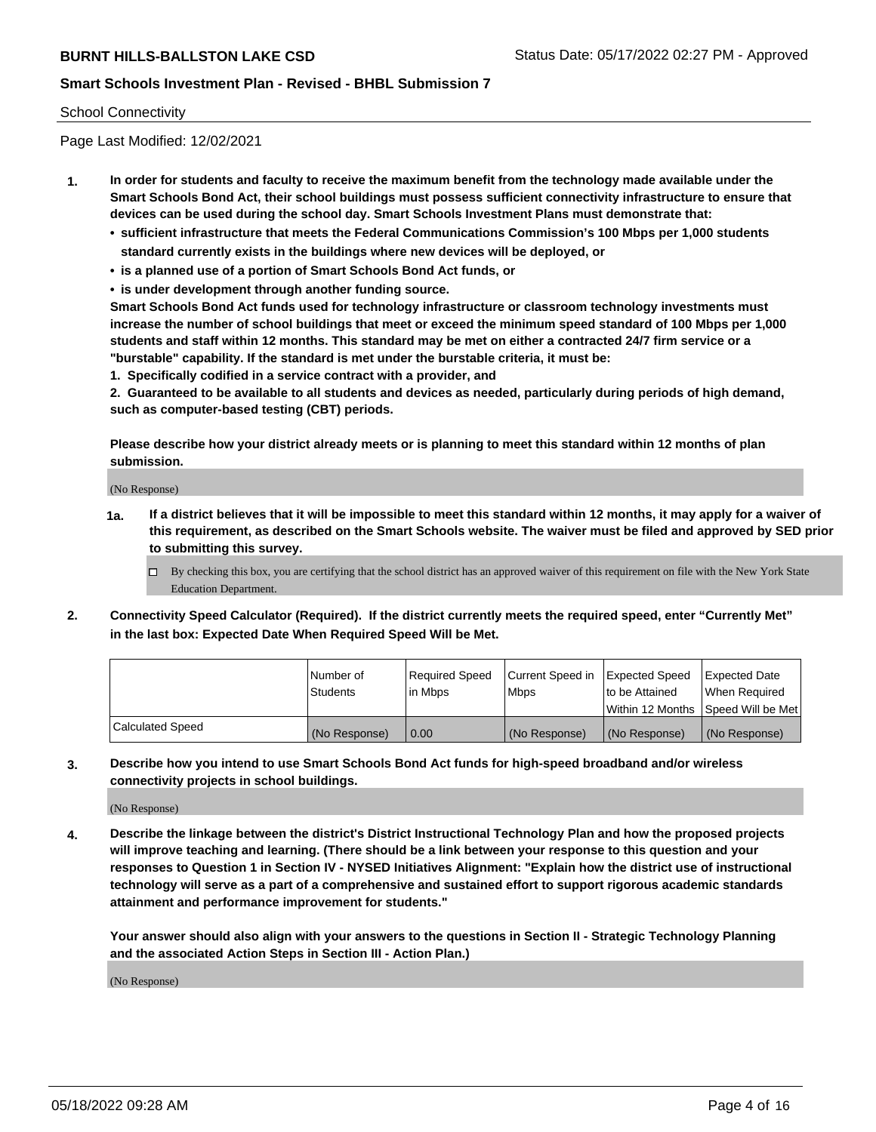## School Connectivity

Page Last Modified: 12/02/2021

- **1. In order for students and faculty to receive the maximum benefit from the technology made available under the Smart Schools Bond Act, their school buildings must possess sufficient connectivity infrastructure to ensure that devices can be used during the school day. Smart Schools Investment Plans must demonstrate that:**
	- **• sufficient infrastructure that meets the Federal Communications Commission's 100 Mbps per 1,000 students standard currently exists in the buildings where new devices will be deployed, or**
	- **• is a planned use of a portion of Smart Schools Bond Act funds, or**
	- **• is under development through another funding source.**

**Smart Schools Bond Act funds used for technology infrastructure or classroom technology investments must increase the number of school buildings that meet or exceed the minimum speed standard of 100 Mbps per 1,000 students and staff within 12 months. This standard may be met on either a contracted 24/7 firm service or a "burstable" capability. If the standard is met under the burstable criteria, it must be:**

**1. Specifically codified in a service contract with a provider, and**

**2. Guaranteed to be available to all students and devices as needed, particularly during periods of high demand, such as computer-based testing (CBT) periods.**

**Please describe how your district already meets or is planning to meet this standard within 12 months of plan submission.**

(No Response)

- **1a. If a district believes that it will be impossible to meet this standard within 12 months, it may apply for a waiver of this requirement, as described on the Smart Schools website. The waiver must be filed and approved by SED prior to submitting this survey.**
	- By checking this box, you are certifying that the school district has an approved waiver of this requirement on file with the New York State Education Department.
- **2. Connectivity Speed Calculator (Required). If the district currently meets the required speed, enter "Currently Met" in the last box: Expected Date When Required Speed Will be Met.**

|                         | l Number of<br><b>Students</b> | Required Speed<br>l in Mbps | Current Speed in<br><b>Mbps</b> | <b>Expected Speed</b><br>to be Attained | Expected Date<br>When Reauired |
|-------------------------|--------------------------------|-----------------------------|---------------------------------|-----------------------------------------|--------------------------------|
|                         |                                |                             |                                 | Within 12 Months 1Speed Will be Met     |                                |
| <b>Calculated Speed</b> | (No Response)                  | 0.00                        | (No Response)                   | (No Response)                           | (No Response)                  |

**3. Describe how you intend to use Smart Schools Bond Act funds for high-speed broadband and/or wireless connectivity projects in school buildings.**

(No Response)

**4. Describe the linkage between the district's District Instructional Technology Plan and how the proposed projects will improve teaching and learning. (There should be a link between your response to this question and your responses to Question 1 in Section IV - NYSED Initiatives Alignment: "Explain how the district use of instructional technology will serve as a part of a comprehensive and sustained effort to support rigorous academic standards attainment and performance improvement for students."** 

**Your answer should also align with your answers to the questions in Section II - Strategic Technology Planning and the associated Action Steps in Section III - Action Plan.)**

(No Response)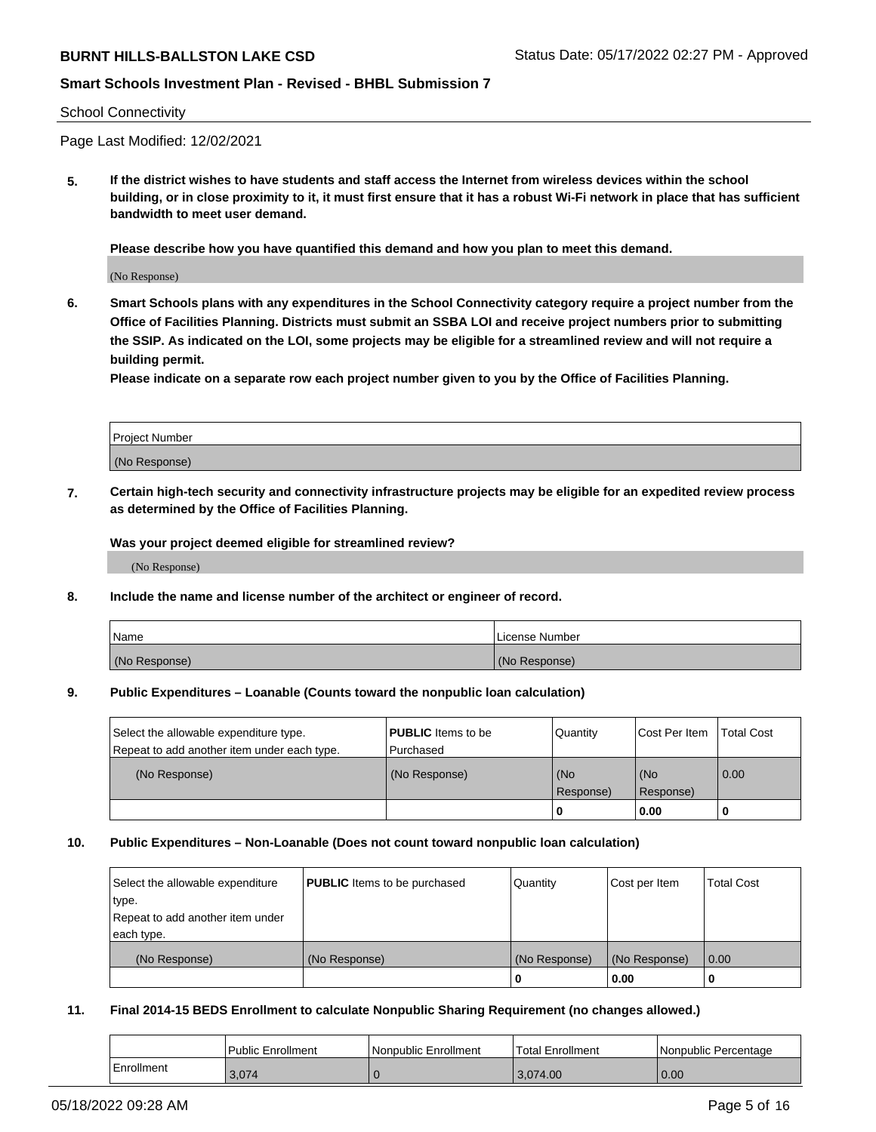### School Connectivity

Page Last Modified: 12/02/2021

**5. If the district wishes to have students and staff access the Internet from wireless devices within the school building, or in close proximity to it, it must first ensure that it has a robust Wi-Fi network in place that has sufficient bandwidth to meet user demand.**

**Please describe how you have quantified this demand and how you plan to meet this demand.**

(No Response)

**6. Smart Schools plans with any expenditures in the School Connectivity category require a project number from the Office of Facilities Planning. Districts must submit an SSBA LOI and receive project numbers prior to submitting the SSIP. As indicated on the LOI, some projects may be eligible for a streamlined review and will not require a building permit.**

**Please indicate on a separate row each project number given to you by the Office of Facilities Planning.**

| Project Number |  |
|----------------|--|
| (No Response)  |  |

**7. Certain high-tech security and connectivity infrastructure projects may be eligible for an expedited review process as determined by the Office of Facilities Planning.**

**Was your project deemed eligible for streamlined review?**

(No Response)

#### **8. Include the name and license number of the architect or engineer of record.**

| Name          | I License Number |
|---------------|------------------|
| (No Response) | (No Response)    |

#### **9. Public Expenditures – Loanable (Counts toward the nonpublic loan calculation)**

| Select the allowable expenditure type.<br>Repeat to add another item under each type. | <b>PUBLIC</b> Items to be<br>Purchased | Quantity         | Cost Per Item    | <b>Total Cost</b> |
|---------------------------------------------------------------------------------------|----------------------------------------|------------------|------------------|-------------------|
| (No Response)                                                                         | (No Response)                          | (No<br>Response) | (No<br>Response) | 0.00              |
|                                                                                       |                                        | 0                | 0.00             |                   |

## **10. Public Expenditures – Non-Loanable (Does not count toward nonpublic loan calculation)**

| Select the allowable expenditure | <b>PUBLIC</b> Items to be purchased | Quantity      | Cost per Item | <b>Total Cost</b> |
|----------------------------------|-------------------------------------|---------------|---------------|-------------------|
| type.                            |                                     |               |               |                   |
| Repeat to add another item under |                                     |               |               |                   |
| each type.                       |                                     |               |               |                   |
| (No Response)                    | (No Response)                       | (No Response) | (No Response) | 0.00              |
|                                  |                                     | -0            | 0.00          |                   |

## **11. Final 2014-15 BEDS Enrollment to calculate Nonpublic Sharing Requirement (no changes allowed.)**

|            | Public Enrollment | Nonpublic Enrollment | Total Enrollment | l Nonpublic Percentage |
|------------|-------------------|----------------------|------------------|------------------------|
| Enrollment | 3,074             |                      | 3,074.00         | 0.00                   |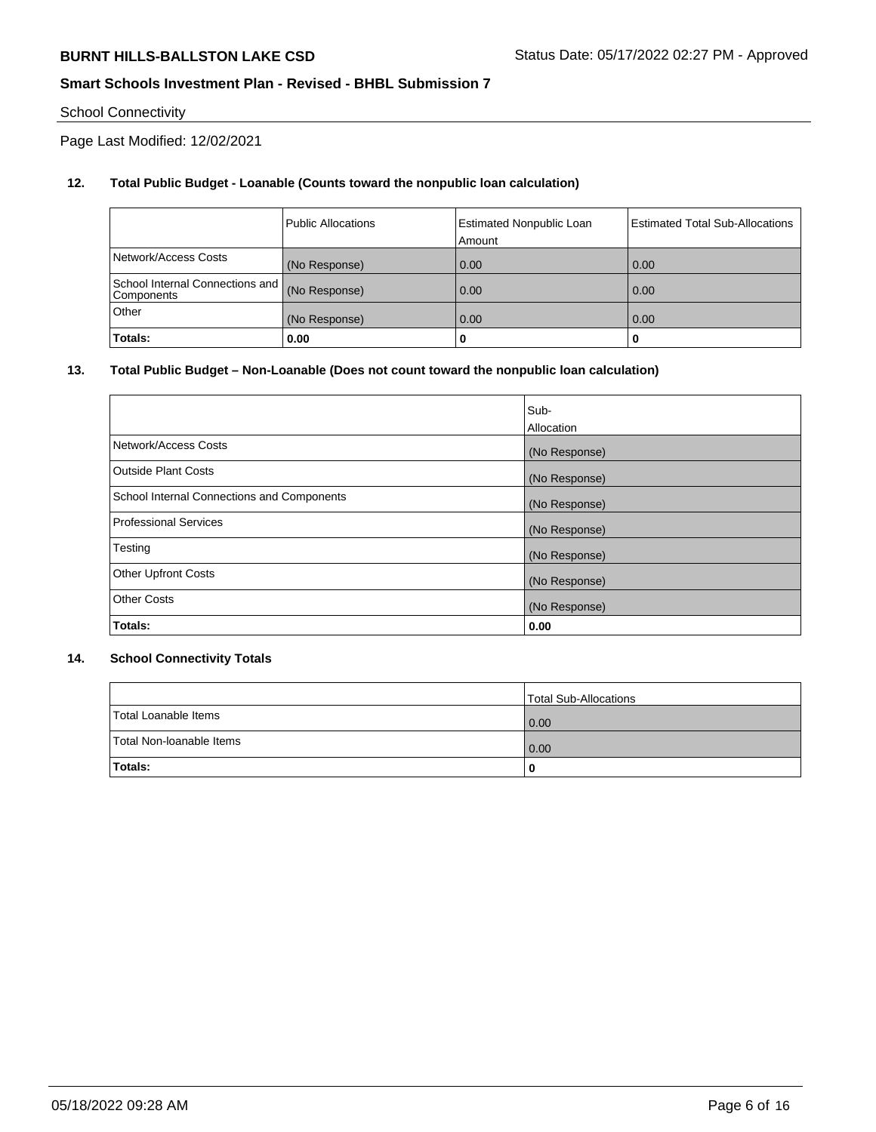# School Connectivity

Page Last Modified: 12/02/2021

# **12. Total Public Budget - Loanable (Counts toward the nonpublic loan calculation)**

|                                                 | <b>Public Allocations</b> | <b>Estimated Nonpublic Loan</b><br>Amount | <b>Estimated Total Sub-Allocations</b> |
|-------------------------------------------------|---------------------------|-------------------------------------------|----------------------------------------|
| Network/Access Costs                            | (No Response)             | 0.00                                      | 0.00                                   |
| School Internal Connections and  <br>Components | (No Response)             | 0.00                                      | 0.00                                   |
| Other                                           | (No Response)             | 0.00                                      | 0.00                                   |
| Totals:                                         | 0.00                      |                                           | 0                                      |

## **13. Total Public Budget – Non-Loanable (Does not count toward the nonpublic loan calculation)**

|                                            | Sub-          |
|--------------------------------------------|---------------|
|                                            | Allocation    |
| Network/Access Costs                       | (No Response) |
| <b>Outside Plant Costs</b>                 | (No Response) |
| School Internal Connections and Components | (No Response) |
| <b>Professional Services</b>               | (No Response) |
| Testing                                    | (No Response) |
| <b>Other Upfront Costs</b>                 | (No Response) |
| <b>Other Costs</b>                         | (No Response) |
| Totals:                                    | 0.00          |

## **14. School Connectivity Totals**

|                          | Total Sub-Allocations |
|--------------------------|-----------------------|
| Total Loanable Items     | 0.00                  |
| Total Non-Ioanable Items | 0.00                  |
| Totals:                  | 0                     |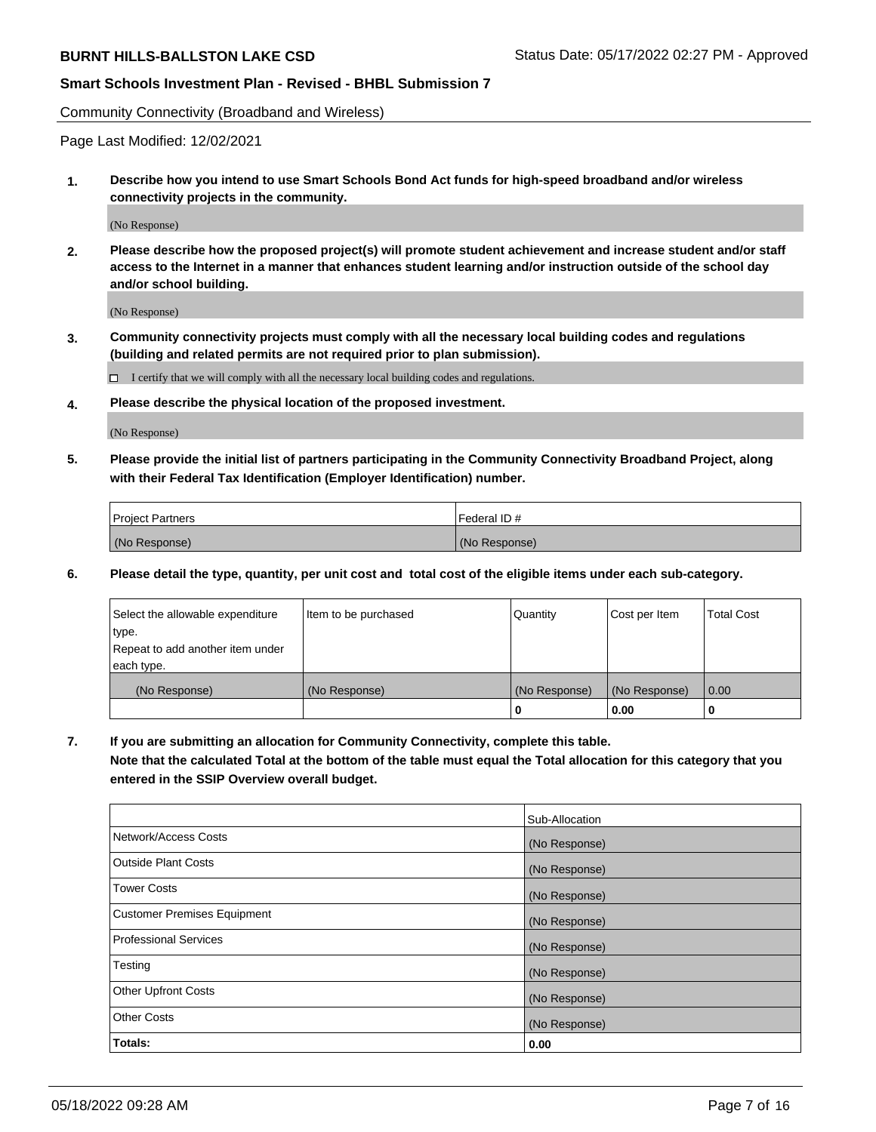Community Connectivity (Broadband and Wireless)

Page Last Modified: 12/02/2021

**1. Describe how you intend to use Smart Schools Bond Act funds for high-speed broadband and/or wireless connectivity projects in the community.**

(No Response)

**2. Please describe how the proposed project(s) will promote student achievement and increase student and/or staff access to the Internet in a manner that enhances student learning and/or instruction outside of the school day and/or school building.**

(No Response)

**3. Community connectivity projects must comply with all the necessary local building codes and regulations (building and related permits are not required prior to plan submission).**

 $\Box$  I certify that we will comply with all the necessary local building codes and regulations.

**4. Please describe the physical location of the proposed investment.**

(No Response)

**5. Please provide the initial list of partners participating in the Community Connectivity Broadband Project, along with their Federal Tax Identification (Employer Identification) number.**

| <b>Project Partners</b> | 'Federal ID # |
|-------------------------|---------------|
| (No Response)           | (No Response) |

**6. Please detail the type, quantity, per unit cost and total cost of the eligible items under each sub-category.**

| Select the allowable expenditure | Item to be purchased | Quantity      | Cost per Item | <b>Total Cost</b> |
|----------------------------------|----------------------|---------------|---------------|-------------------|
| type.                            |                      |               |               |                   |
| Repeat to add another item under |                      |               |               |                   |
| each type.                       |                      |               |               |                   |
| (No Response)                    | (No Response)        | (No Response) | (No Response) | 0.00              |
|                                  |                      | 0             | 0.00          |                   |

**7. If you are submitting an allocation for Community Connectivity, complete this table.**

**Note that the calculated Total at the bottom of the table must equal the Total allocation for this category that you entered in the SSIP Overview overall budget.**

|                             | Sub-Allocation |
|-----------------------------|----------------|
| Network/Access Costs        | (No Response)  |
| Outside Plant Costs         | (No Response)  |
| <b>Tower Costs</b>          | (No Response)  |
| Customer Premises Equipment | (No Response)  |
| Professional Services       | (No Response)  |
| Testing                     | (No Response)  |
| <b>Other Upfront Costs</b>  | (No Response)  |
| <b>Other Costs</b>          | (No Response)  |
| Totals:                     | 0.00           |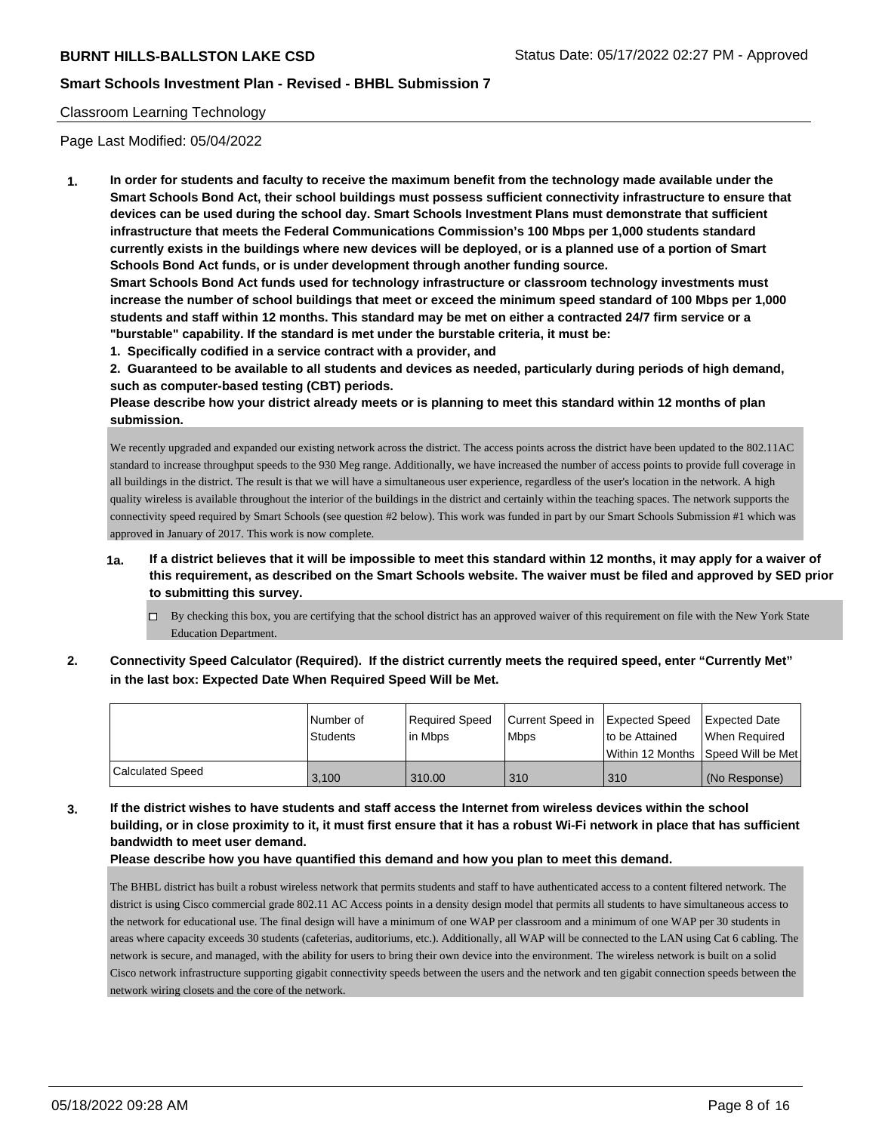## Classroom Learning Technology

Page Last Modified: 05/04/2022

**1. In order for students and faculty to receive the maximum benefit from the technology made available under the Smart Schools Bond Act, their school buildings must possess sufficient connectivity infrastructure to ensure that devices can be used during the school day. Smart Schools Investment Plans must demonstrate that sufficient infrastructure that meets the Federal Communications Commission's 100 Mbps per 1,000 students standard currently exists in the buildings where new devices will be deployed, or is a planned use of a portion of Smart Schools Bond Act funds, or is under development through another funding source.**

**Smart Schools Bond Act funds used for technology infrastructure or classroom technology investments must increase the number of school buildings that meet or exceed the minimum speed standard of 100 Mbps per 1,000 students and staff within 12 months. This standard may be met on either a contracted 24/7 firm service or a "burstable" capability. If the standard is met under the burstable criteria, it must be:**

**1. Specifically codified in a service contract with a provider, and**

**2. Guaranteed to be available to all students and devices as needed, particularly during periods of high demand, such as computer-based testing (CBT) periods.**

**Please describe how your district already meets or is planning to meet this standard within 12 months of plan submission.**

We recently upgraded and expanded our existing network across the district. The access points across the district have been updated to the 802.11AC standard to increase throughput speeds to the 930 Meg range. Additionally, we have increased the number of access points to provide full coverage in all buildings in the district. The result is that we will have a simultaneous user experience, regardless of the user's location in the network. A high quality wireless is available throughout the interior of the buildings in the district and certainly within the teaching spaces. The network supports the connectivity speed required by Smart Schools (see question #2 below). This work was funded in part by our Smart Schools Submission #1 which was approved in January of 2017. This work is now complete.

- **1a. If a district believes that it will be impossible to meet this standard within 12 months, it may apply for a waiver of this requirement, as described on the Smart Schools website. The waiver must be filed and approved by SED prior to submitting this survey.**
	- By checking this box, you are certifying that the school district has an approved waiver of this requirement on file with the New York State Education Department.
- **2. Connectivity Speed Calculator (Required). If the district currently meets the required speed, enter "Currently Met" in the last box: Expected Date When Required Speed Will be Met.**

|                  | Number of<br>Students | Required Speed<br>l in Mbps | Current Speed in Expected Speed<br><b>Mbps</b> | I to be Attained                    | <b>Expected Date</b><br>When Required |
|------------------|-----------------------|-----------------------------|------------------------------------------------|-------------------------------------|---------------------------------------|
|                  |                       |                             |                                                | Within 12 Months 1Speed Will be Met |                                       |
| Calculated Speed | 3.100                 | 310.00                      | 310                                            | 310                                 | (No Response)                         |

**3. If the district wishes to have students and staff access the Internet from wireless devices within the school building, or in close proximity to it, it must first ensure that it has a robust Wi-Fi network in place that has sufficient bandwidth to meet user demand.**

## **Please describe how you have quantified this demand and how you plan to meet this demand.**

The BHBL district has built a robust wireless network that permits students and staff to have authenticated access to a content filtered network. The district is using Cisco commercial grade 802.11 AC Access points in a density design model that permits all students to have simultaneous access to the network for educational use. The final design will have a minimum of one WAP per classroom and a minimum of one WAP per 30 students in areas where capacity exceeds 30 students (cafeterias, auditoriums, etc.). Additionally, all WAP will be connected to the LAN using Cat 6 cabling. The network is secure, and managed, with the ability for users to bring their own device into the environment. The wireless network is built on a solid Cisco network infrastructure supporting gigabit connectivity speeds between the users and the network and ten gigabit connection speeds between the network wiring closets and the core of the network.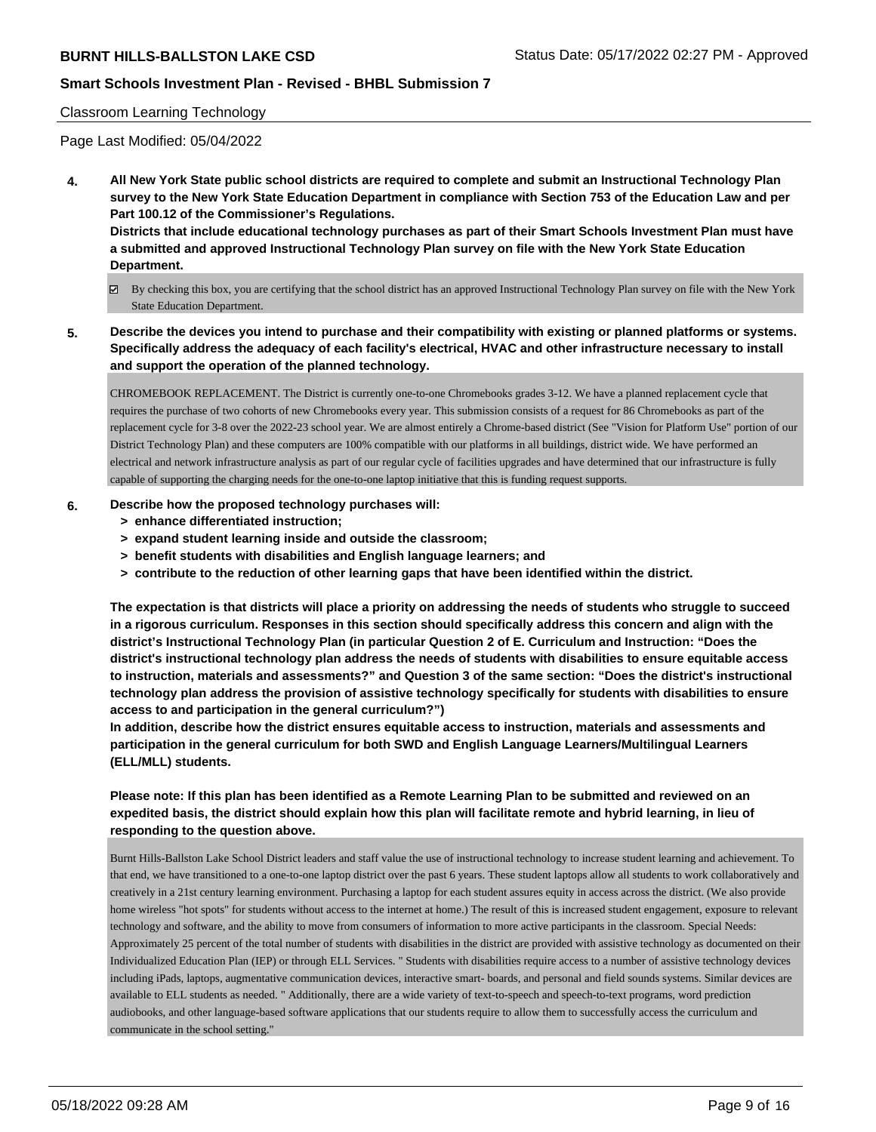## Classroom Learning Technology

Page Last Modified: 05/04/2022

**4. All New York State public school districts are required to complete and submit an Instructional Technology Plan survey to the New York State Education Department in compliance with Section 753 of the Education Law and per Part 100.12 of the Commissioner's Regulations.**

**Districts that include educational technology purchases as part of their Smart Schools Investment Plan must have a submitted and approved Instructional Technology Plan survey on file with the New York State Education Department.**

- By checking this box, you are certifying that the school district has an approved Instructional Technology Plan survey on file with the New York State Education Department.
- **5. Describe the devices you intend to purchase and their compatibility with existing or planned platforms or systems. Specifically address the adequacy of each facility's electrical, HVAC and other infrastructure necessary to install and support the operation of the planned technology.**

CHROMEBOOK REPLACEMENT. The District is currently one-to-one Chromebooks grades 3-12. We have a planned replacement cycle that requires the purchase of two cohorts of new Chromebooks every year. This submission consists of a request for 86 Chromebooks as part of the replacement cycle for 3-8 over the 2022-23 school year. We are almost entirely a Chrome-based district (See "Vision for Platform Use" portion of our District Technology Plan) and these computers are 100% compatible with our platforms in all buildings, district wide. We have performed an electrical and network infrastructure analysis as part of our regular cycle of facilities upgrades and have determined that our infrastructure is fully capable of supporting the charging needs for the one-to-one laptop initiative that this is funding request supports.

## **6. Describe how the proposed technology purchases will:**

- **> enhance differentiated instruction;**
- **> expand student learning inside and outside the classroom;**
- **> benefit students with disabilities and English language learners; and**
- **> contribute to the reduction of other learning gaps that have been identified within the district.**

**The expectation is that districts will place a priority on addressing the needs of students who struggle to succeed in a rigorous curriculum. Responses in this section should specifically address this concern and align with the district's Instructional Technology Plan (in particular Question 2 of E. Curriculum and Instruction: "Does the district's instructional technology plan address the needs of students with disabilities to ensure equitable access to instruction, materials and assessments?" and Question 3 of the same section: "Does the district's instructional technology plan address the provision of assistive technology specifically for students with disabilities to ensure access to and participation in the general curriculum?")**

**In addition, describe how the district ensures equitable access to instruction, materials and assessments and participation in the general curriculum for both SWD and English Language Learners/Multilingual Learners (ELL/MLL) students.**

# **Please note: If this plan has been identified as a Remote Learning Plan to be submitted and reviewed on an expedited basis, the district should explain how this plan will facilitate remote and hybrid learning, in lieu of responding to the question above.**

Burnt Hills-Ballston Lake School District leaders and staff value the use of instructional technology to increase student learning and achievement. To that end, we have transitioned to a one-to-one laptop district over the past 6 years. These student laptops allow all students to work collaboratively and creatively in a 21st century learning environment. Purchasing a laptop for each student assures equity in access across the district. (We also provide home wireless "hot spots" for students without access to the internet at home.) The result of this is increased student engagement, exposure to relevant technology and software, and the ability to move from consumers of information to more active participants in the classroom. Special Needs: Approximately 25 percent of the total number of students with disabilities in the district are provided with assistive technology as documented on their Individualized Education Plan (IEP) or through ELL Services. " Students with disabilities require access to a number of assistive technology devices including iPads, laptops, augmentative communication devices, interactive smart- boards, and personal and field sounds systems. Similar devices are available to ELL students as needed. " Additionally, there are a wide variety of text-to-speech and speech-to-text programs, word prediction audiobooks, and other language-based software applications that our students require to allow them to successfully access the curriculum and communicate in the school setting."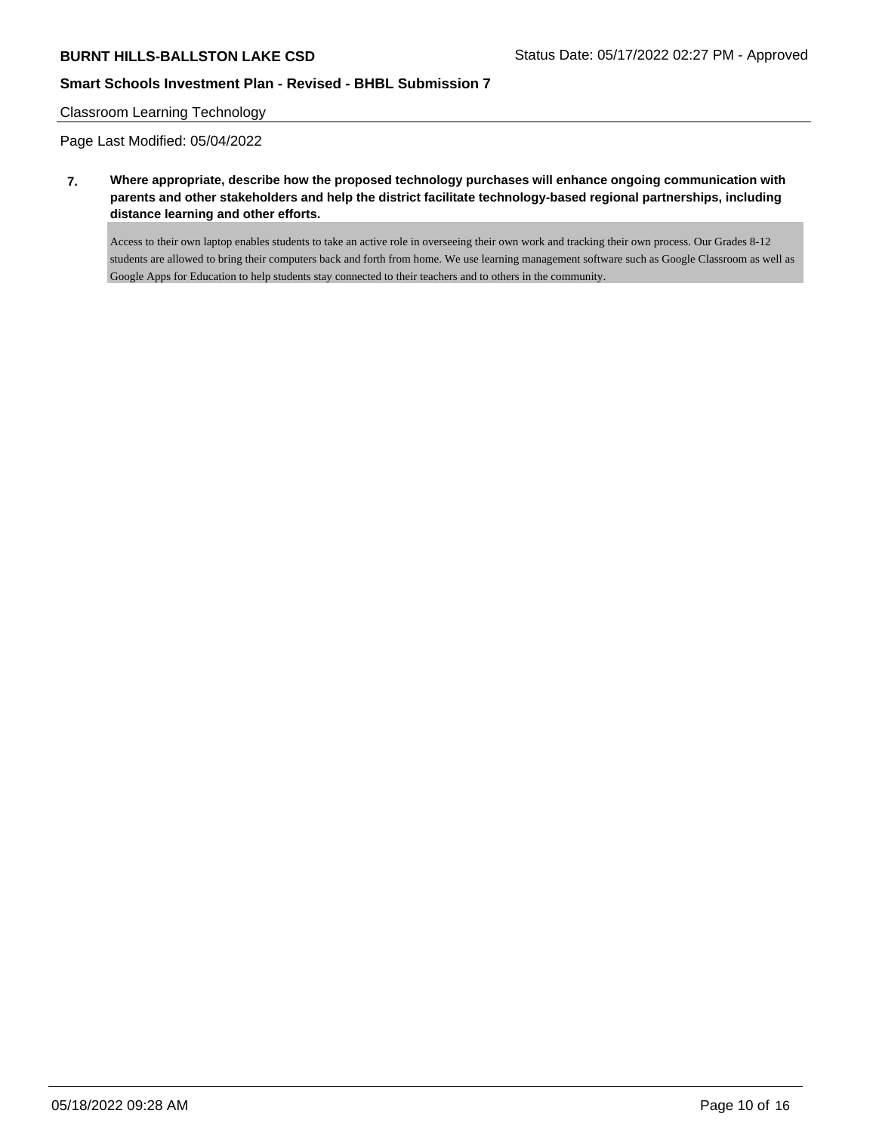## Classroom Learning Technology

Page Last Modified: 05/04/2022

**7. Where appropriate, describe how the proposed technology purchases will enhance ongoing communication with parents and other stakeholders and help the district facilitate technology-based regional partnerships, including distance learning and other efforts.**

Access to their own laptop enables students to take an active role in overseeing their own work and tracking their own process. Our Grades 8-12 students are allowed to bring their computers back and forth from home. We use learning management software such as Google Classroom as well as Google Apps for Education to help students stay connected to their teachers and to others in the community.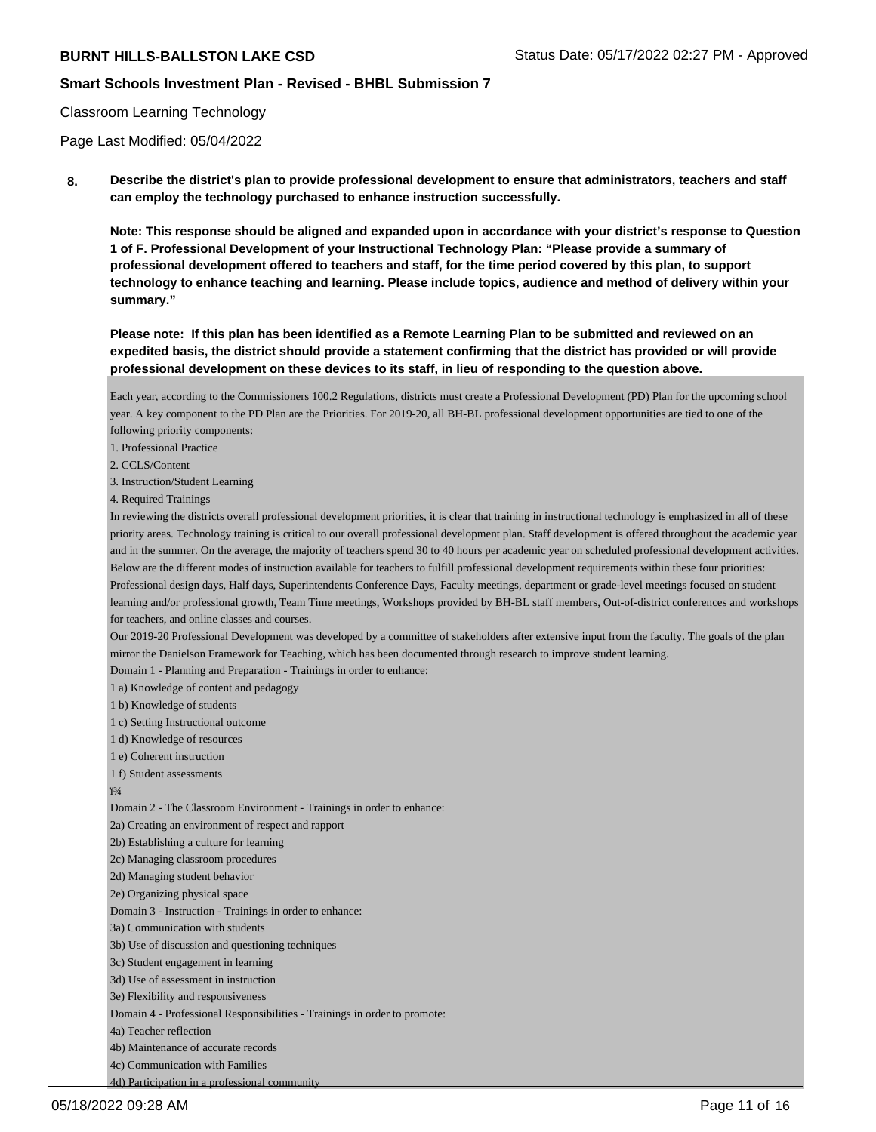## Classroom Learning Technology

Page Last Modified: 05/04/2022

**8. Describe the district's plan to provide professional development to ensure that administrators, teachers and staff can employ the technology purchased to enhance instruction successfully.**

**Note: This response should be aligned and expanded upon in accordance with your district's response to Question 1 of F. Professional Development of your Instructional Technology Plan: "Please provide a summary of professional development offered to teachers and staff, for the time period covered by this plan, to support technology to enhance teaching and learning. Please include topics, audience and method of delivery within your summary."**

**Please note: If this plan has been identified as a Remote Learning Plan to be submitted and reviewed on an expedited basis, the district should provide a statement confirming that the district has provided or will provide professional development on these devices to its staff, in lieu of responding to the question above.**

Each year, according to the Commissioners 100.2 Regulations, districts must create a Professional Development (PD) Plan for the upcoming school year. A key component to the PD Plan are the Priorities. For 2019-20, all BH-BL professional development opportunities are tied to one of the following priority components:

1. Professional Practice

2. CCLS/Content

3. Instruction/Student Learning

4. Required Trainings

In reviewing the districts overall professional development priorities, it is clear that training in instructional technology is emphasized in all of these priority areas. Technology training is critical to our overall professional development plan. Staff development is offered throughout the academic year and in the summer. On the average, the majority of teachers spend 30 to 40 hours per academic year on scheduled professional development activities. Below are the different modes of instruction available for teachers to fulfill professional development requirements within these four priorities: Professional design days, Half days, Superintendents Conference Days, Faculty meetings, department or grade-level meetings focused on student learning and/or professional growth, Team Time meetings, Workshops provided by BH-BL staff members, Out-of-district conferences and workshops for teachers, and online classes and courses.

Our 2019-20 Professional Development was developed by a committee of stakeholders after extensive input from the faculty. The goals of the plan mirror the Danielson Framework for Teaching, which has been documented through research to improve student learning.

Domain 1 - Planning and Preparation - Trainings in order to enhance:

1 a) Knowledge of content and pedagogy

1 b) Knowledge of students

1 c) Setting Instructional outcome

1 d) Knowledge of resources

1 e) Coherent instruction

1 f) Student assessments

 $i3/4$ 

Domain 2 - The Classroom Environment - Trainings in order to enhance:

2a) Creating an environment of respect and rapport

2b) Establishing a culture for learning

2c) Managing classroom procedures

2d) Managing student behavior

2e) Organizing physical space

Domain 3 - Instruction - Trainings in order to enhance:

3a) Communication with students

3b) Use of discussion and questioning techniques

3c) Student engagement in learning

3d) Use of assessment in instruction

3e) Flexibility and responsiveness

Domain 4 - Professional Responsibilities - Trainings in order to promote:

4a) Teacher reflection

4b) Maintenance of accurate records

4c) Communication with Families

4d) Participation in a professional community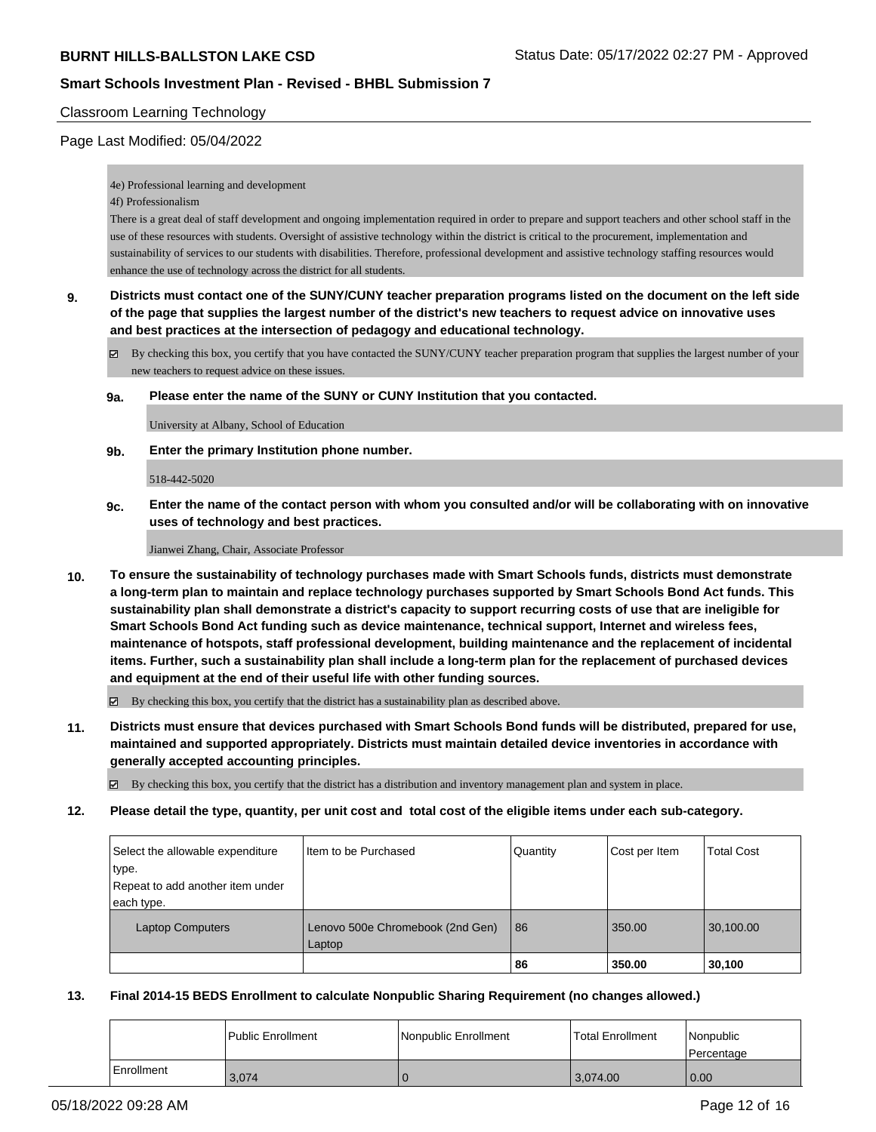## Classroom Learning Technology

## Page Last Modified: 05/04/2022

4e) Professional learning and development

4f) Professionalism

There is a great deal of staff development and ongoing implementation required in order to prepare and support teachers and other school staff in the use of these resources with students. Oversight of assistive technology within the district is critical to the procurement, implementation and sustainability of services to our students with disabilities. Therefore, professional development and assistive technology staffing resources would enhance the use of technology across the district for all students.

**9. Districts must contact one of the SUNY/CUNY teacher preparation programs listed on the document on the left side of the page that supplies the largest number of the district's new teachers to request advice on innovative uses and best practices at the intersection of pedagogy and educational technology.**

By checking this box, you certify that you have contacted the SUNY/CUNY teacher preparation program that supplies the largest number of your new teachers to request advice on these issues.

**9a. Please enter the name of the SUNY or CUNY Institution that you contacted.**

University at Albany, School of Education

**9b. Enter the primary Institution phone number.**

518-442-5020

**9c. Enter the name of the contact person with whom you consulted and/or will be collaborating with on innovative uses of technology and best practices.**

Jianwei Zhang, Chair, Associate Professor

**10. To ensure the sustainability of technology purchases made with Smart Schools funds, districts must demonstrate a long-term plan to maintain and replace technology purchases supported by Smart Schools Bond Act funds. This sustainability plan shall demonstrate a district's capacity to support recurring costs of use that are ineligible for Smart Schools Bond Act funding such as device maintenance, technical support, Internet and wireless fees, maintenance of hotspots, staff professional development, building maintenance and the replacement of incidental items. Further, such a sustainability plan shall include a long-term plan for the replacement of purchased devices and equipment at the end of their useful life with other funding sources.**

 $\boxtimes$  By checking this box, you certify that the district has a sustainability plan as described above.

**11. Districts must ensure that devices purchased with Smart Schools Bond funds will be distributed, prepared for use, maintained and supported appropriately. Districts must maintain detailed device inventories in accordance with generally accepted accounting principles.**

By checking this box, you certify that the district has a distribution and inventory management plan and system in place.

**12. Please detail the type, quantity, per unit cost and total cost of the eligible items under each sub-category.**

| Select the allowable expenditure<br>type.<br>Repeat to add another item under | Iltem to be Purchased                      | Quantity | Cost per Item | <b>Total Cost</b> |
|-------------------------------------------------------------------------------|--------------------------------------------|----------|---------------|-------------------|
| each type.<br><b>Laptop Computers</b>                                         | Lenovo 500e Chromebook (2nd Gen)<br>Laptop | 86       | 350.00        | 30,100.00         |
|                                                                               |                                            | 86       | 350.00        | 30,100            |

## **13. Final 2014-15 BEDS Enrollment to calculate Nonpublic Sharing Requirement (no changes allowed.)**

|            | l Public Enrollment | Nonpublic Enrollment | <b>Total Enrollment</b> | Nonpublic<br>l Percentage |
|------------|---------------------|----------------------|-------------------------|---------------------------|
| Enrollment | 3,074               |                      | 3,074.00                | 0.00                      |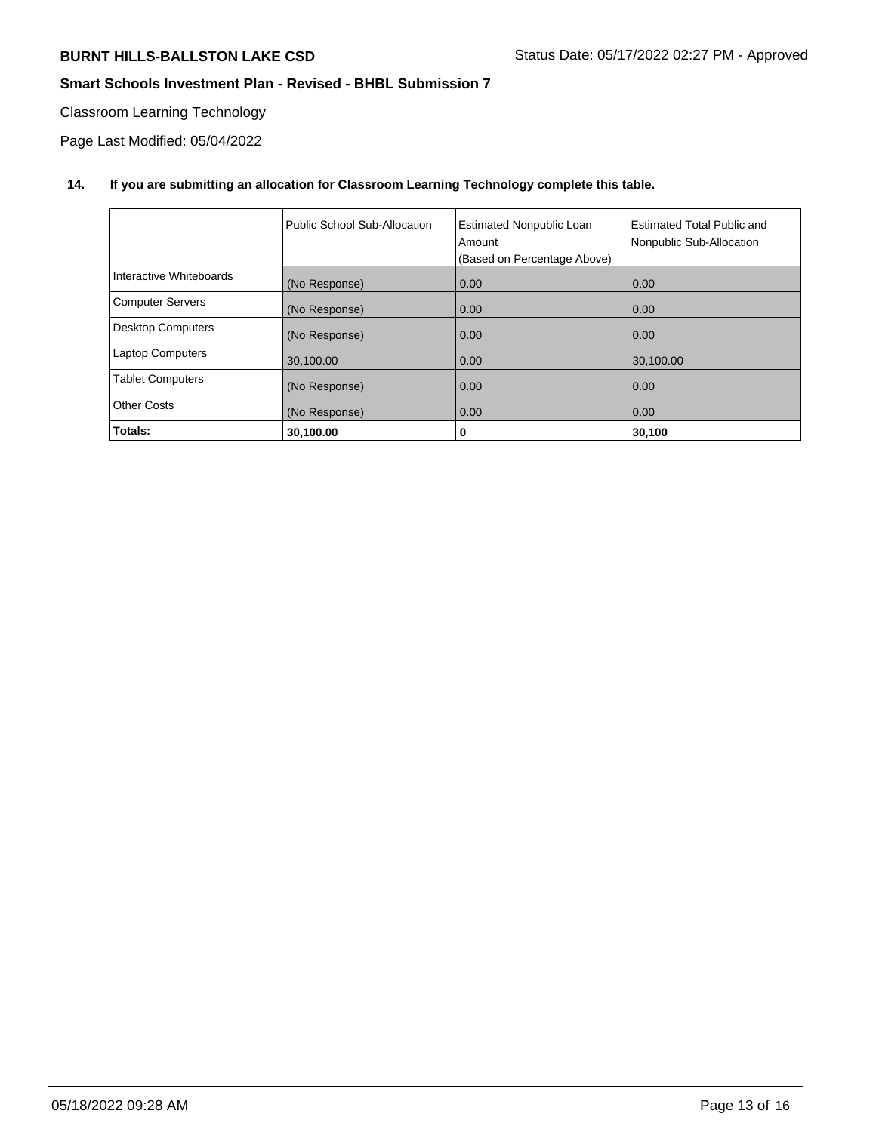# Classroom Learning Technology

Page Last Modified: 05/04/2022

## **14. If you are submitting an allocation for Classroom Learning Technology complete this table.**

|                          | Public School Sub-Allocation | <b>Estimated Nonpublic Loan</b><br>Amount<br>(Based on Percentage Above) | Estimated Total Public and<br>Nonpublic Sub-Allocation |
|--------------------------|------------------------------|--------------------------------------------------------------------------|--------------------------------------------------------|
| Interactive Whiteboards  | (No Response)                | 0.00                                                                     | 0.00                                                   |
| <b>Computer Servers</b>  | (No Response)                | 0.00                                                                     | 0.00                                                   |
| <b>Desktop Computers</b> | (No Response)                | 0.00                                                                     | 0.00                                                   |
| <b>Laptop Computers</b>  | 30,100.00                    | 0.00                                                                     | 30,100.00                                              |
| <b>Tablet Computers</b>  | (No Response)                | 0.00                                                                     | 0.00                                                   |
| <b>Other Costs</b>       | (No Response)                | 0.00                                                                     | 0.00                                                   |
| Totals:                  | 30,100.00                    | 0                                                                        | 30,100                                                 |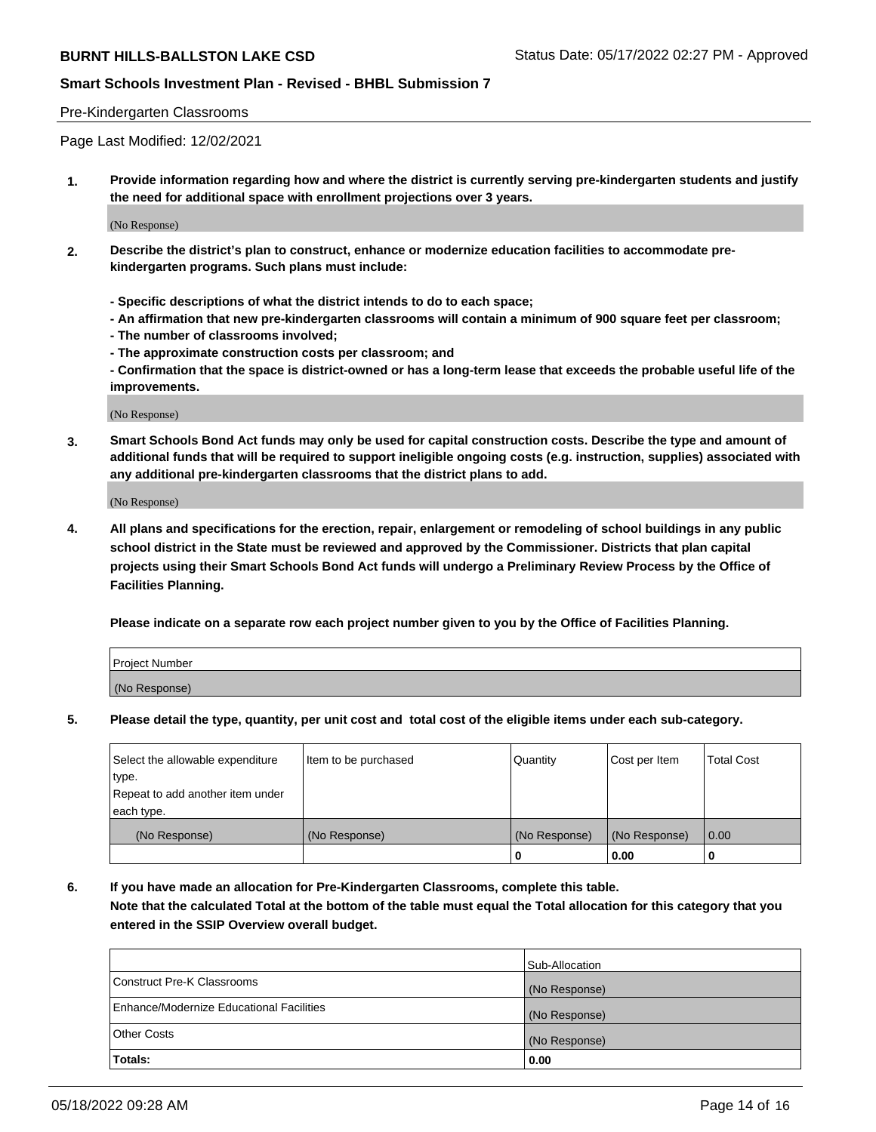## Pre-Kindergarten Classrooms

Page Last Modified: 12/02/2021

**1. Provide information regarding how and where the district is currently serving pre-kindergarten students and justify the need for additional space with enrollment projections over 3 years.**

(No Response)

- **2. Describe the district's plan to construct, enhance or modernize education facilities to accommodate prekindergarten programs. Such plans must include:**
	- **Specific descriptions of what the district intends to do to each space;**
	- **An affirmation that new pre-kindergarten classrooms will contain a minimum of 900 square feet per classroom;**
	- **The number of classrooms involved;**
	- **The approximate construction costs per classroom; and**
	- **Confirmation that the space is district-owned or has a long-term lease that exceeds the probable useful life of the improvements.**

(No Response)

**3. Smart Schools Bond Act funds may only be used for capital construction costs. Describe the type and amount of additional funds that will be required to support ineligible ongoing costs (e.g. instruction, supplies) associated with any additional pre-kindergarten classrooms that the district plans to add.**

(No Response)

**4. All plans and specifications for the erection, repair, enlargement or remodeling of school buildings in any public school district in the State must be reviewed and approved by the Commissioner. Districts that plan capital projects using their Smart Schools Bond Act funds will undergo a Preliminary Review Process by the Office of Facilities Planning.**

**Please indicate on a separate row each project number given to you by the Office of Facilities Planning.**

| Project Number |  |
|----------------|--|
| (No Response)  |  |

**5. Please detail the type, quantity, per unit cost and total cost of the eligible items under each sub-category.**

| Select the allowable expenditure          | Item to be purchased | Quantity      | Cost per Item | <b>Total Cost</b> |
|-------------------------------------------|----------------------|---------------|---------------|-------------------|
| type.<br>Repeat to add another item under |                      |               |               |                   |
| each type.                                |                      |               |               |                   |
| (No Response)                             | (No Response)        | (No Response) | (No Response) | 0.00              |
|                                           |                      | o             | 0.00          |                   |

**6. If you have made an allocation for Pre-Kindergarten Classrooms, complete this table.**

**Note that the calculated Total at the bottom of the table must equal the Total allocation for this category that you entered in the SSIP Overview overall budget.**

|                                          | Sub-Allocation |
|------------------------------------------|----------------|
| Construct Pre-K Classrooms               | (No Response)  |
| Enhance/Modernize Educational Facilities | (No Response)  |
| <b>Other Costs</b>                       | (No Response)  |
| Totals:                                  | 0.00           |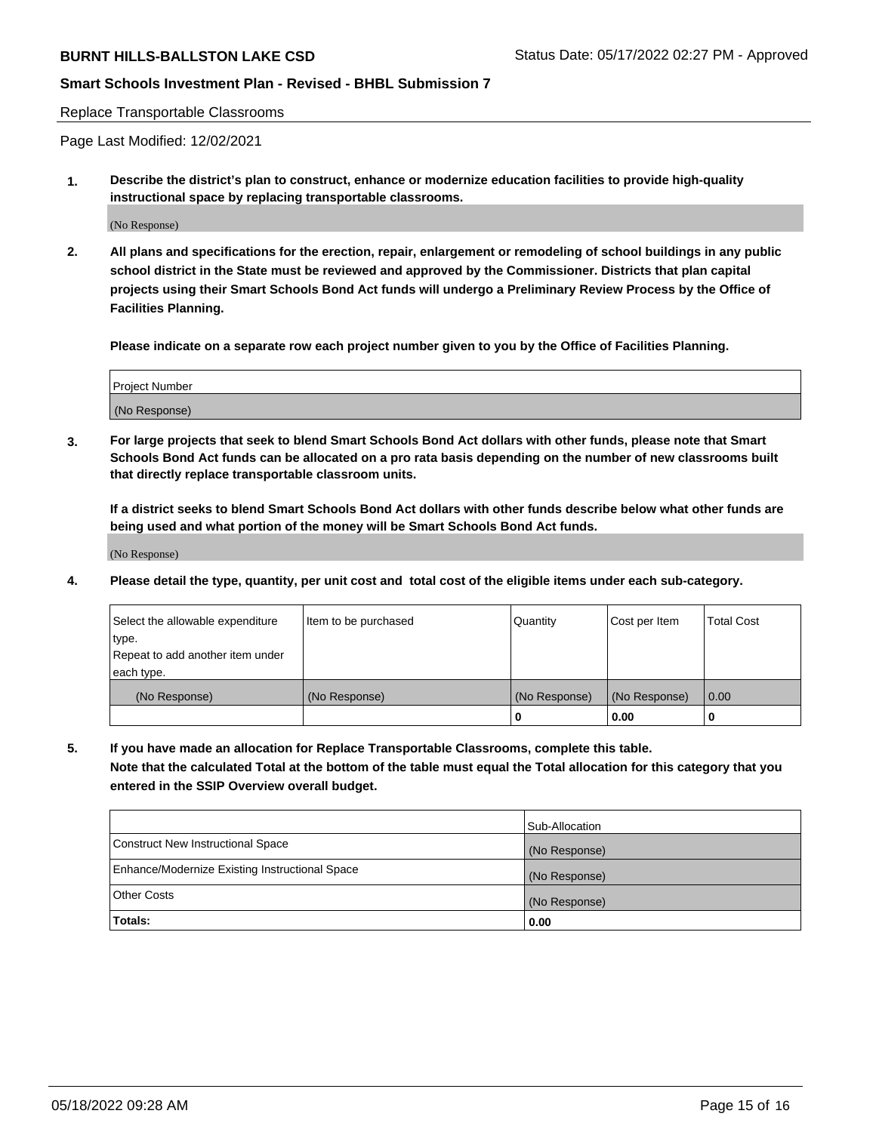#### Replace Transportable Classrooms

Page Last Modified: 12/02/2021

**1. Describe the district's plan to construct, enhance or modernize education facilities to provide high-quality instructional space by replacing transportable classrooms.**

(No Response)

**2. All plans and specifications for the erection, repair, enlargement or remodeling of school buildings in any public school district in the State must be reviewed and approved by the Commissioner. Districts that plan capital projects using their Smart Schools Bond Act funds will undergo a Preliminary Review Process by the Office of Facilities Planning.**

**Please indicate on a separate row each project number given to you by the Office of Facilities Planning.**

| <b>Project Number</b> |  |
|-----------------------|--|
| (No Response)         |  |

**3. For large projects that seek to blend Smart Schools Bond Act dollars with other funds, please note that Smart Schools Bond Act funds can be allocated on a pro rata basis depending on the number of new classrooms built that directly replace transportable classroom units.**

**If a district seeks to blend Smart Schools Bond Act dollars with other funds describe below what other funds are being used and what portion of the money will be Smart Schools Bond Act funds.**

(No Response)

**4. Please detail the type, quantity, per unit cost and total cost of the eligible items under each sub-category.**

| Select the allowable expenditure | Item to be purchased | Quantity      | Cost per Item | <b>Total Cost</b> |
|----------------------------------|----------------------|---------------|---------------|-------------------|
| type.                            |                      |               |               |                   |
| Repeat to add another item under |                      |               |               |                   |
| each type.                       |                      |               |               |                   |
| (No Response)                    | (No Response)        | (No Response) | (No Response) | 0.00              |
|                                  |                      | U             | 0.00          |                   |

**5. If you have made an allocation for Replace Transportable Classrooms, complete this table.**

**Note that the calculated Total at the bottom of the table must equal the Total allocation for this category that you entered in the SSIP Overview overall budget.**

|                                                | Sub-Allocation |
|------------------------------------------------|----------------|
| Construct New Instructional Space              | (No Response)  |
| Enhance/Modernize Existing Instructional Space | (No Response)  |
| <b>Other Costs</b>                             | (No Response)  |
| Totals:                                        | 0.00           |